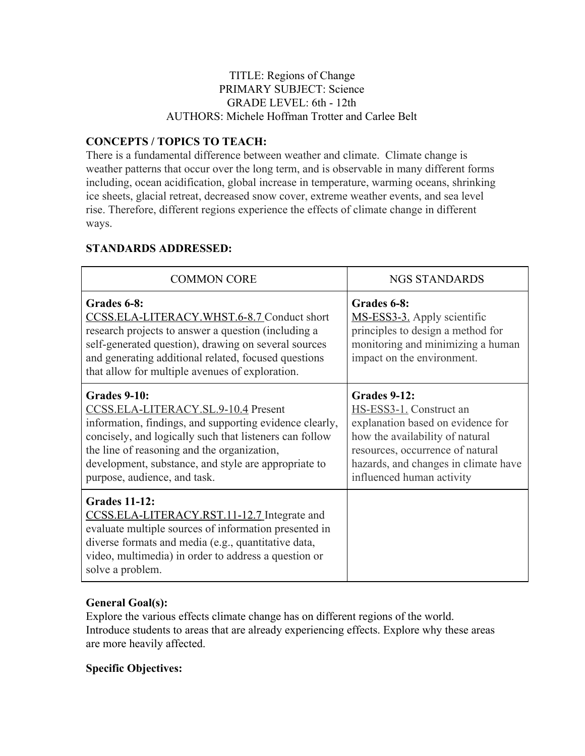#### TITLE: Regions of Change PRIMARY SUBJECT: Science GRADE LEVEL: 6th - 12th AUTHORS: Michele Hoffman Trotter and Carlee Belt

## **CONCEPTS / TOPICS TO TEACH:**

There is a fundamental difference between weather and climate. Climate change is weather patterns that occur over the long term, and is observable in many different forms including, ocean acidification, global increase in temperature, warming oceans, shrinking ice sheets, glacial retreat, decreased snow cover, extreme weather events, and sea level rise. Therefore, different regions experience the effects of climate change in different ways.

# **STANDARDS ADDRESSED:**

| <b>COMMON CORE</b>                                                                                                                                                                                                                                                                                               | <b>NGS STANDARDS</b>                                                                                                                                                                                                            |  |  |  |
|------------------------------------------------------------------------------------------------------------------------------------------------------------------------------------------------------------------------------------------------------------------------------------------------------------------|---------------------------------------------------------------------------------------------------------------------------------------------------------------------------------------------------------------------------------|--|--|--|
| Grades 6-8:<br>CCSS.ELA-LITERACY.WHST.6-8.7 Conduct short<br>research projects to answer a question (including a<br>self-generated question), drawing on several sources<br>and generating additional related, focused questions<br>that allow for multiple avenues of exploration.                              | Grades 6-8:<br>MS-ESS3-3. Apply scientific<br>principles to design a method for<br>monitoring and minimizing a human<br>impact on the environment.                                                                              |  |  |  |
| Grades 9-10:<br>CCSS.ELA-LITERACY.SL.9-10.4 Present<br>information, findings, and supporting evidence clearly,<br>concisely, and logically such that listeners can follow<br>the line of reasoning and the organization,<br>development, substance, and style are appropriate to<br>purpose, audience, and task. | <b>Grades 9-12:</b><br>HS-ESS3-1. Construct an<br>explanation based on evidence for<br>how the availability of natural<br>resources, occurrence of natural<br>hazards, and changes in climate have<br>influenced human activity |  |  |  |
| <b>Grades 11-12:</b><br>CCSS.ELA-LITERACY.RST.11-12.7 Integrate and<br>evaluate multiple sources of information presented in<br>diverse formats and media (e.g., quantitative data,<br>video, multimedia) in order to address a question or<br>solve a problem.                                                  |                                                                                                                                                                                                                                 |  |  |  |

## **General Goal(s):**

Explore the various effects climate change has on different regions of the world. Introduce students to areas that are already experiencing effects. Explore why these areas are more heavily affected.

## **Specific Objectives:**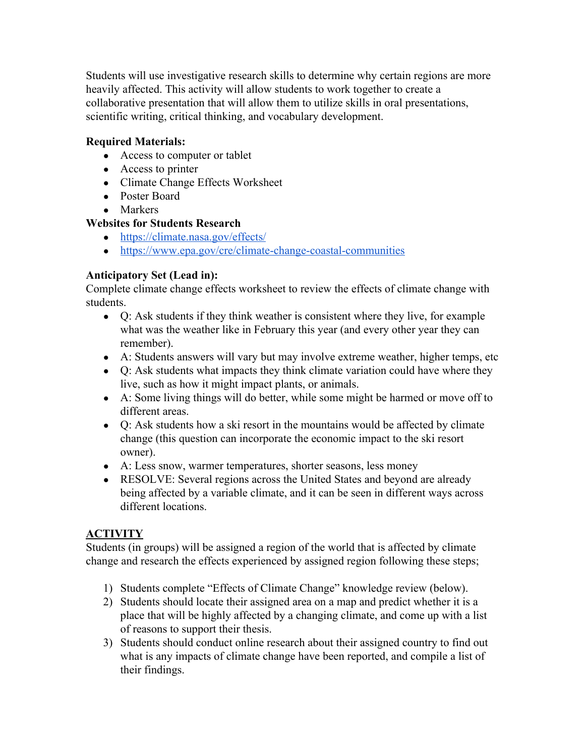Students will use investigative research skills to determine why certain regions are more heavily affected. This activity will allow students to work together to create a collaborative presentation that will allow them to utilize skills in oral presentations, scientific writing, critical thinking, and vocabulary development.

#### **Required Materials:**

- Access to computer or tablet
- Access to printer
- Climate Change Effects Worksheet
- Poster Board
- Markers

#### **Websites for Students Research**

- <https://climate.nasa.gov/effects/>
- <https://www.epa.gov/cre/climate-change-coastal-communities>

#### **Anticipatory Set (Lead in):**

Complete climate change effects worksheet to review the effects of climate change with students.

- Q: Ask students if they think weather is consistent where they live, for example what was the weather like in February this year (and every other year they can remember).
- A: Students answers will vary but may involve extreme weather, higher temps, etc
- Q: Ask students what impacts they think climate variation could have where they live, such as how it might impact plants, or animals.
- A: Some living things will do better, while some might be harmed or move off to different areas.
- Q: Ask students how a ski resort in the mountains would be affected by climate change (this question can incorporate the economic impact to the ski resort owner).
- A: Less snow, warmer temperatures, shorter seasons, less money
- RESOLVE: Several regions across the United States and beyond are already being affected by a variable climate, and it can be seen in different ways across different locations.

## **ACTIVITY**

Students (in groups) will be assigned a region of the world that is affected by climate change and research the effects experienced by assigned region following these steps;

- 1) Students complete "Effects of Climate Change" knowledge review (below).
- 2) Students should locate their assigned area on a map and predict whether it is a place that will be highly affected by a changing climate, and come up with a list of reasons to support their thesis.
- 3) Students should conduct online research about their assigned country to find out what is any impacts of climate change have been reported, and compile a list of their findings.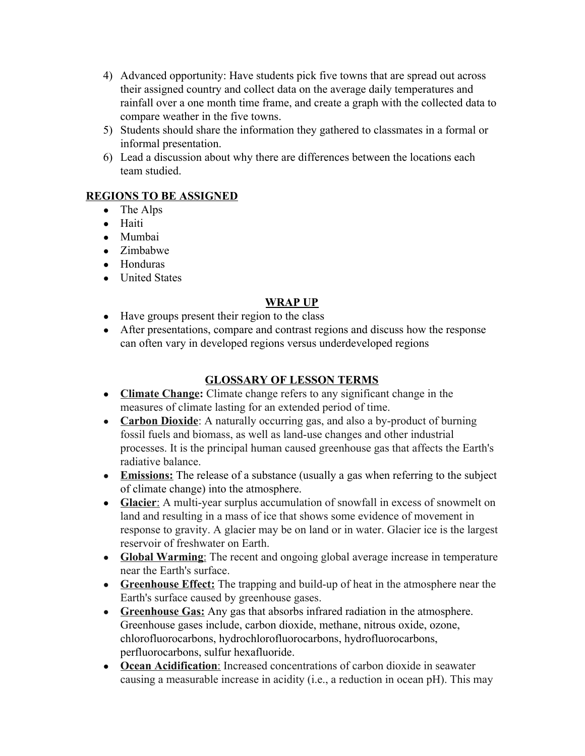- 4) Advanced opportunity: Have students pick five towns that are spread out across their assigned country and collect data on the average daily temperatures and rainfall over a one month time frame, and create a graph with the collected data to compare weather in the five towns.
- 5) Students should share the information they gathered to classmates in a formal or informal presentation.
- 6) Lead a discussion about why there are differences between the locations each team studied.

# **REGIONS TO BE ASSIGNED**

- The Alps
- Haiti
- Mumbai
- Zimbabwe
- Honduras
- United States

# **WRAP UP**

- Have groups present their region to the class
- After presentations, compare and contrast regions and discuss how the response can often vary in developed regions versus underdeveloped regions

# **GLOSSARY OF LESSON TERMS**

- **Climate Change:** Climate change refers to any significant change in the measures of climate lasting for an extended period of time.
- **Carbon Dioxide**: A naturally occurring gas, and also a by-product of burning fossil fuels and biomass, as well as land-use changes and other industrial processes. It is the principal human caused greenhouse gas that affects the Earth's radiative balance.
- Emissions: The release of a substance (usually a gas when referring to the subject of climate change) into the atmosphere.
- **Glacier**: A multi-year surplus accumulation of snowfall in excess of snowmelt on land and resulting in a mass of ice that shows some evidence of movement in response to gravity. A glacier may be on land or in water. Glacier ice is the largest reservoir of freshwater on Earth.
- **Global Warming**: The recent and ongoing global average increase in temperature near the Earth's surface.
- **Greenhouse Effect:** The trapping and build-up of heat in the atmosphere near the Earth's surface caused by greenhouse gases.
- **Greenhouse Gas:** Any gas that absorbs infrared radiation in the atmosphere. Greenhouse gases include, [carbon dioxide](https://www3.epa.gov/climatechange/glossary.html#CO2), [methane,](https://www3.epa.gov/climatechange/glossary.html#Methane) [nitrous oxide,](https://www3.epa.gov/climatechange/glossary.html#N2O) [ozone](https://www3.epa.gov/climatechange/glossary.html#Ozone), [chlorofluorocarbons,](https://www3.epa.gov/climatechange/glossary.html#Chlorofluorocarbons) [hydrochlorofluorocarbons,](https://www3.epa.gov/climatechange/glossary.html#HCFCs) [hydrofluorocarbons](https://www3.epa.gov/climatechange/glossary.html#HFCs), [perfluorocarbons,](https://www3.epa.gov/climatechange/glossary.html#PFCs) [sulfur hexafluoride](https://www3.epa.gov/climatechange/glossary.html#SF6).
- **Ocean Acidification**: Increased concentrations of carbon dioxide in seawater causing a measurable increase in acidity (i.e., a reduction in ocean pH). This may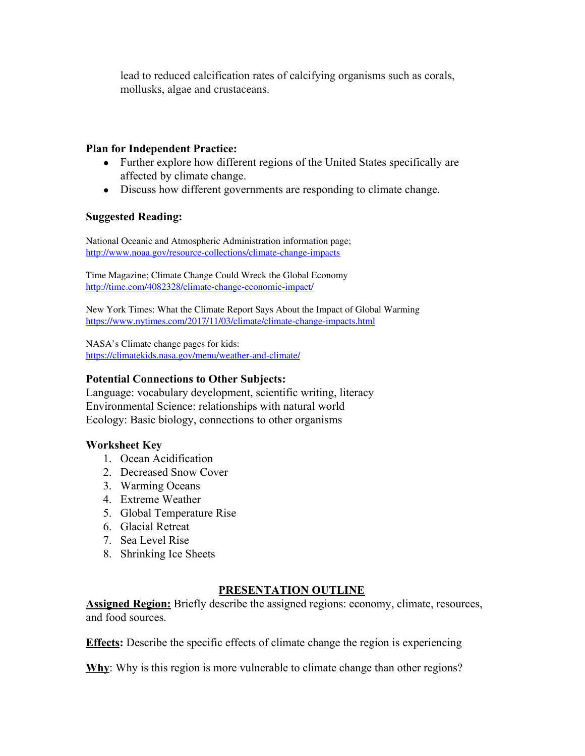lead to reduced calcification rates of calcifying organisms such as corals, mollusks, algae and crustaceans.

#### **Plan for Independent Practice:**

- Further explore how different regions of the United States specifically are affected by climate change.
- Discuss how different governments are responding to climate change.

#### **Suggested Reading:**

National Oceanic and Atmospheric Administration information page; <http://www.noaa.gov/resource-collections/climate-change-impacts>

Time Magazine; Climate Change Could Wreck the Global Economy <http://time.com/4082328/climate-change-economic-impact/>

New York Times: What the Climate Report Says About the Impact of Global Warming <https://www.nytimes.com/2017/11/03/climate/climate-change-impacts.html>

NASA's Climate change pages for kids: <https://climatekids.nasa.gov/menu/weather-and-climate/>

#### **Potential Connections to Other Subjects:**

Language: vocabulary development, scientific writing, literacy Environmental Science: relationships with natural world Ecology: Basic biology, connections to other organisms

#### **Worksheet Key**

- 1. Ocean Acidification
- 2. Decreased Snow Cover
- 3. Warming Oceans
- 4. Extreme Weather
- 5. Global Temperature Rise
- 6. Glacial Retreat
- 7. Sea Level Rise
- 8. Shrinking Ice Sheets

#### **PRESENTATION OUTLINE**

**Assigned Region:** Briefly describe the assigned regions: economy, climate, resources, and food sources.

**Effects:** Describe the specific effects of climate change the region is experiencing

**Why**: Why is this region is more vulnerable to climate change than other regions?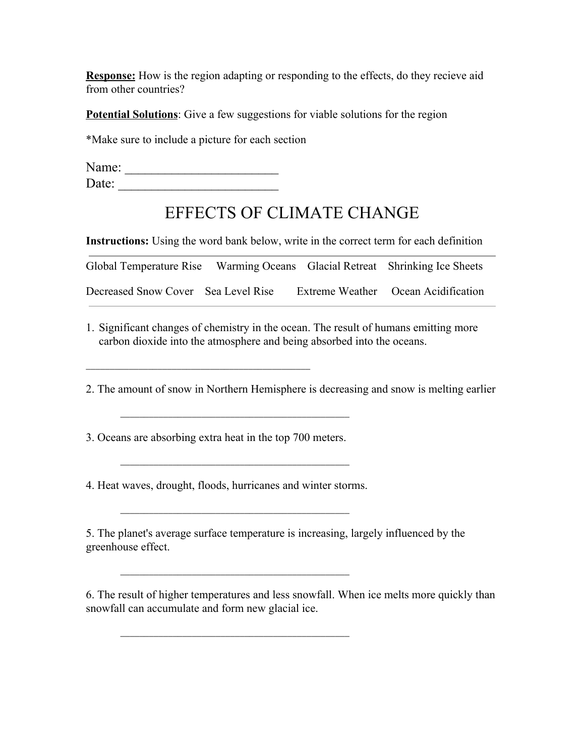**Response:** How is the region adapting or responding to the effects, do they recieve aid from other countries?

**Potential Solutions**: Give a few suggestions for viable solutions for the region

\*Make sure to include a picture for each section

Name: \_\_\_\_\_\_\_\_\_\_\_\_\_\_\_\_\_\_\_\_\_\_\_ Date: \_\_\_\_\_\_\_\_\_\_\_\_\_\_\_\_\_\_\_\_\_\_\_\_

# EFFECTS OF CLIMATE CHANGE

**Instructions:** Using the word bank below, write in the correct term for each definition

| Global Temperature Rise Warming Oceans Glacial Retreat Shrinking Ice Sheets |  |                                     |
|-----------------------------------------------------------------------------|--|-------------------------------------|
| Decreased Snow Cover Sea Level Rise                                         |  | Extreme Weather Ocean Acidification |

1. Significant changes of chemistry in the ocean. The result of humans emitting more carbon dioxide into the atmosphere and being absorbed into the oceans.

2. The amount of snow in Northern Hemisphere is decreasing and snow is melting earlier

3. Oceans are absorbing extra heat in the top 700 meters.

4. Heat waves, drought, floods, hurricanes and winter storms.

\_\_\_\_\_\_\_\_\_\_\_\_\_\_\_\_\_\_\_\_\_\_\_\_\_\_\_\_\_\_\_\_\_\_\_\_\_\_\_\_\_\_\_\_\_\_\_\_

\_\_\_\_\_\_\_\_\_\_\_\_\_\_\_\_\_\_\_\_\_\_\_\_\_\_\_\_\_\_\_\_\_\_\_\_\_\_\_\_\_\_\_\_\_\_\_\_

\_\_\_\_\_\_\_\_\_\_\_\_\_\_\_\_\_\_\_\_\_\_\_\_\_\_\_\_\_\_\_\_\_\_\_\_\_\_\_\_\_\_\_\_\_\_\_\_

\_\_\_\_\_\_\_\_\_\_\_\_\_\_\_\_\_\_\_\_\_\_\_\_\_\_\_\_\_\_\_\_\_\_\_\_\_\_\_\_\_\_\_\_\_\_\_\_

5. The planet's average surface temperature is increasing, largely influenced by the greenhouse effect.

6. The result of higher temperatures and less snowfall. When ice melts more quickly than snowfall can accumulate and form new glacial ice.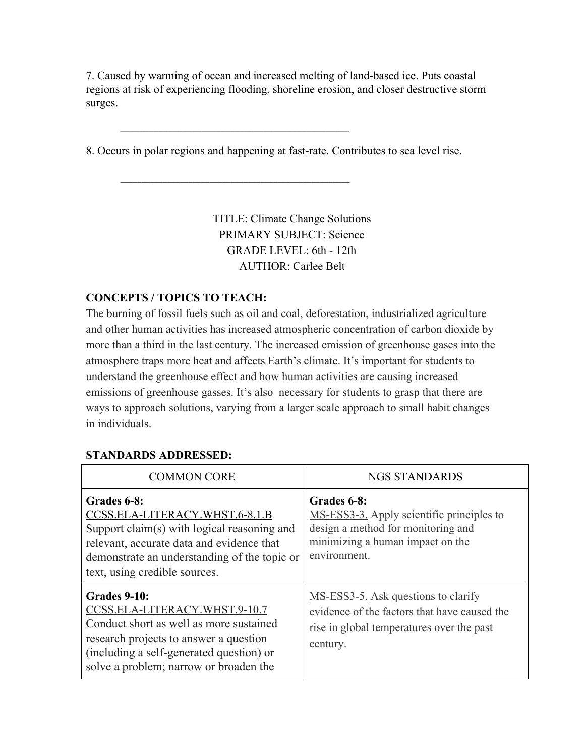7. Caused by warming of ocean and increased melting of land-based ice. Puts coastal regions at risk of experiencing flooding, shoreline erosion, and closer destructive storm surges.

8. Occurs in polar regions and happening at fast-rate. Contributes to sea level rise.

\_\_\_\_\_\_\_\_\_\_\_\_\_\_\_\_\_\_\_\_\_\_\_\_\_\_\_\_\_\_\_\_\_\_\_\_\_\_\_\_\_\_\_\_\_\_\_\_

\_\_\_\_\_\_\_\_\_\_\_\_\_\_\_\_\_\_\_\_\_\_\_\_\_\_\_\_\_\_\_\_\_\_\_\_\_\_\_\_\_\_\_\_\_\_\_\_\_\_\_\_\_\_

TITLE: Climate Change Solutions PRIMARY SUBJECT: Science GRADE LEVEL: 6th - 12th AUTHOR: Carlee Belt

#### **CONCEPTS / TOPICS TO TEACH:**

The burning of fossil fuels such as oil and coal, deforestation, industrialized agriculture and other human activities has increased atmospheric concentration of carbon dioxide by more than a third in the last century. The increased emission of greenhouse gases into the atmosphere traps more heat and affects Earth's climate. It's important for students to understand the greenhouse effect and how human activities are causing increased emissions of greenhouse gasses. It's also necessary for students to grasp that there are ways to approach solutions, varying from a larger scale approach to small habit changes in individuals.

| <b>COMMON CORE</b>                                                                                                                                                                                                              | <b>NGS STANDARDS</b>                                                                                                                               |  |  |
|---------------------------------------------------------------------------------------------------------------------------------------------------------------------------------------------------------------------------------|----------------------------------------------------------------------------------------------------------------------------------------------------|--|--|
| Grades 6-8:<br>CCSS.ELA-LITERACY.WHST.6-8.1.B<br>Support claim(s) with logical reasoning and<br>relevant, accurate data and evidence that<br>demonstrate an understanding of the topic or<br>text, using credible sources.      | Grades 6-8:<br>MS-ESS3-3. Apply scientific principles to<br>design a method for monitoring and<br>minimizing a human impact on the<br>environment. |  |  |
| <b>Grades 9-10:</b><br>CCSS.ELA-LITERACY.WHST.9-10.7<br>Conduct short as well as more sustained<br>research projects to answer a question<br>(including a self-generated question) or<br>solve a problem; narrow or broaden the | MS-ESS3-5. Ask questions to clarify<br>evidence of the factors that have caused the<br>rise in global temperatures over the past<br>century.       |  |  |

#### **STANDARDS ADDRESSED:**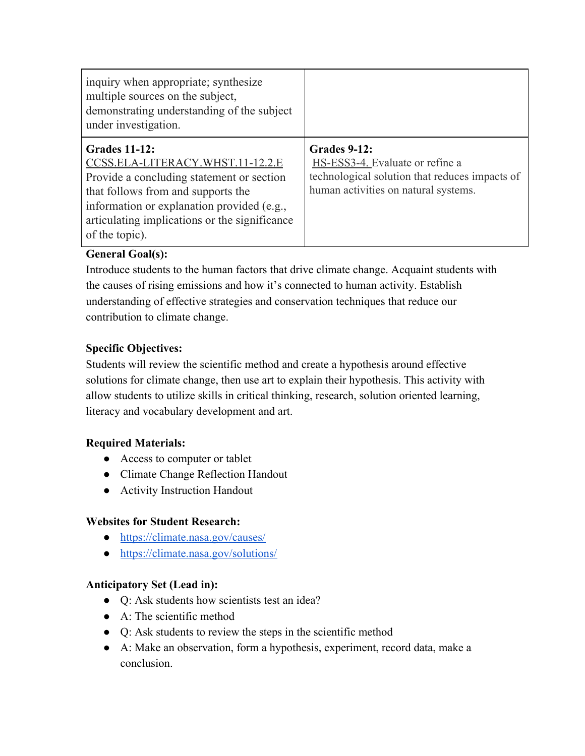| inquiry when appropriate; synthesize<br>multiple sources on the subject,<br>demonstrating understanding of the subject<br>under investigation.                                                                                                               |                                                                                                                                                  |
|--------------------------------------------------------------------------------------------------------------------------------------------------------------------------------------------------------------------------------------------------------------|--------------------------------------------------------------------------------------------------------------------------------------------------|
| <b>Grades 11-12:</b><br>CCSS.ELA-LITERACY.WHST.11-12.2.E<br>Provide a concluding statement or section<br>that follows from and supports the<br>information or explanation provided (e.g.,<br>articulating implications or the significance<br>of the topic). | <b>Grades 9-12:</b><br>HS-ESS3-4. Evaluate or refine a<br>technological solution that reduces impacts of<br>human activities on natural systems. |

# **General Goal(s):**

Introduce students to the human factors that drive climate change. Acquaint students with the causes of rising emissions and how it's connected to human activity. Establish understanding of effective strategies and conservation techniques that reduce our contribution to climate change.

## **Specific Objectives:**

Students will review the scientific method and create a hypothesis around effective solutions for climate change, then use art to explain their hypothesis. This activity with allow students to utilize skills in critical thinking, research, solution oriented learning, literacy and vocabulary development and art.

## **Required Materials:**

- Access to computer or tablet
- Climate Change Reflection Handout
- Activity Instruction Handout

## **Websites for Student Research:**

- <https://climate.nasa.gov/causes/>
- [https://climate.nasa.gov/solutions/](https://climate.nasa.gov/solutions/adaptation-mitigation/)

## **Anticipatory Set (Lead in):**

- Q: Ask students how scientists test an idea?
- A: The scientific method
- Q: Ask students to review the steps in the scientific method
- A: Make an observation, form a hypothesis, experiment, record data, make a conclusion.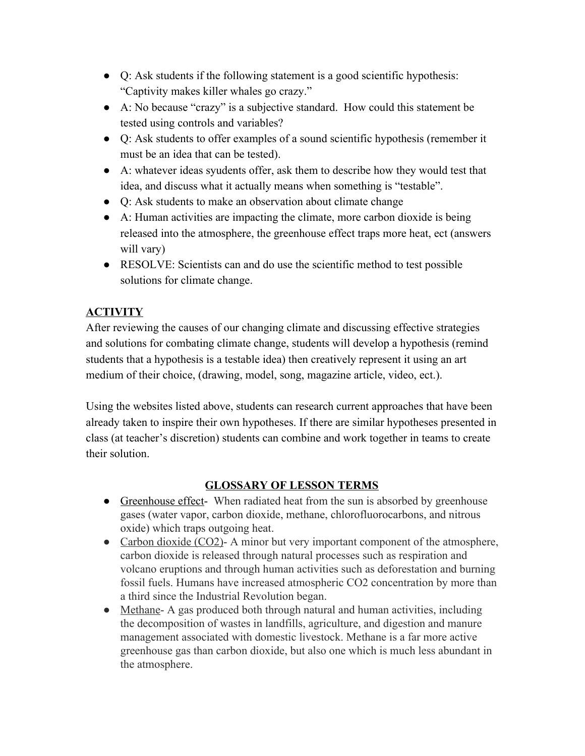- Q: Ask students if the following statement is a good scientific hypothesis: "Captivity makes killer whales go crazy."
- A: No because "crazy" is a subjective standard. How could this statement be tested using controls and variables?
- Q: Ask students to offer examples of a sound scientific hypothesis (remember it must be an idea that can be tested).
- A: whatever ideas syudents offer, ask them to describe how they would test that idea, and discuss what it actually means when something is "testable".
- Q: Ask students to make an observation about climate change
- A: Human activities are impacting the climate, more carbon dioxide is being released into the atmosphere, the greenhouse effect traps more heat, ect (answers will vary)
- RESOLVE: Scientists can and do use the scientific method to test possible solutions for climate change.

# **ACTIVITY**

After reviewing the causes of our changing climate and discussing effective strategies and solutions for combating climate change, students will develop a hypothesis (remind students that a hypothesis is a testable idea) then creatively represent it using an art medium of their choice, (drawing, model, song, magazine article, video, ect.).

Using the websites listed above, students can research current approaches that have been already taken to inspire their own hypotheses. If there are similar hypotheses presented in class (at teacher's discretion) students can combine and work together in teams to create their solution.

# **GLOSSARY OF LESSON TERMS**

- Greenhouse effect- When radiated heat from the sun is absorbed by greenhouse gases (water vapor, carbon dioxide, methane, chlorofluorocarbons, and nitrous oxide) which traps outgoing heat.
- Carbon dioxide (CO2)- A minor but very important component of the atmosphere, carbon dioxide is released through natural processes such as respiration and volcano eruptions and through human activities such as deforestation and burning fossil fuels. Humans have increased atmospheric CO2 concentration by more than a third since the Industrial Revolution began.
- Methane- A gas produced both through natural and human activities, including the decomposition of wastes in landfills, agriculture, and digestion and manure management associated with domestic livestock. Methane is a far more active greenhouse gas than carbon dioxide, but also one which is much less abundant in the atmosphere.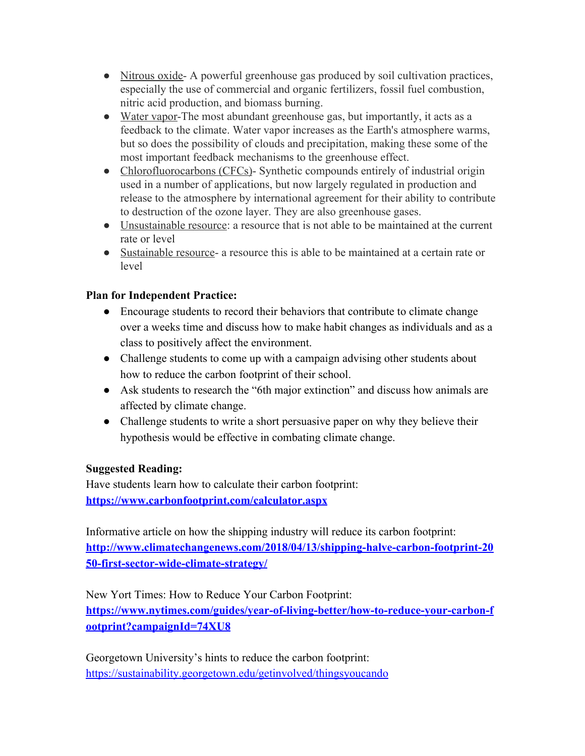- Nitrous oxide- A powerful greenhouse gas produced by soil cultivation practices, especially the use of commercial and organic fertilizers, fossil fuel combustion, nitric acid production, and biomass burning.
- Water vapor-The most abundant greenhouse gas, but importantly, it acts as a feedback to the climate. Water vapor increases as the Earth's atmosphere warms, but so does the possibility of clouds and precipitation, making these some of the most important feedback mechanisms to the greenhouse effect.
- Chlorofluorocarbons (CFCs)- Synthetic compounds entirely of industrial origin used in a number of applications, but now largely regulated in production and release to the atmosphere by international agreement for their ability to contribute to destruction of the ozone layer. They are also greenhouse gases.
- Unsustainable resource: a resource that is not able to be maintained at the current rate or level
- Sustainable resource- a resource this is able to be maintained at a certain rate or level

# **Plan for Independent Practice:**

- Encourage students to record their behaviors that contribute to climate change over a weeks time and discuss how to make habit changes as individuals and as a class to positively affect the environment.
- Challenge students to come up with a campaign advising other students about how to reduce the carbon footprint of their school.
- Ask students to research the "6th major extinction" and discuss how animals are affected by climate change.
- Challenge students to write a short persuasive paper on why they believe their hypothesis would be effective in combating climate change.

## **Suggested Reading:**

Have students learn how to calculate their carbon footprint: **<https://www.carbonfootprint.com/calculator.aspx>**

Informative article on how the shipping industry will reduce its carbon footprint: **[http://www.climatechangenews.com/2018/04/13/shipping-halve-carbon-footprint-20](http://www.climatechangenews.com/2018/04/13/shipping-halve-carbon-footprint-2050-first-sector-wide-climate-strategy/) [50-first-sector-wide-climate-strategy/](http://www.climatechangenews.com/2018/04/13/shipping-halve-carbon-footprint-2050-first-sector-wide-climate-strategy/)**

New Yort Times: How to Reduce Your Carbon Footprint: **[https://www.nytimes.com/guides/year-of-living-better/how-to-reduce-your-carbon-f](https://www.nytimes.com/guides/year-of-living-better/how-to-reduce-your-carbon-footprint?campaignId=74XU8) [ootprint?campaignId=74XU8](https://www.nytimes.com/guides/year-of-living-better/how-to-reduce-your-carbon-footprint?campaignId=74XU8)**

Georgetown University's hints to reduce the carbon footprint: <https://sustainability.georgetown.edu/getinvolved/thingsyoucando>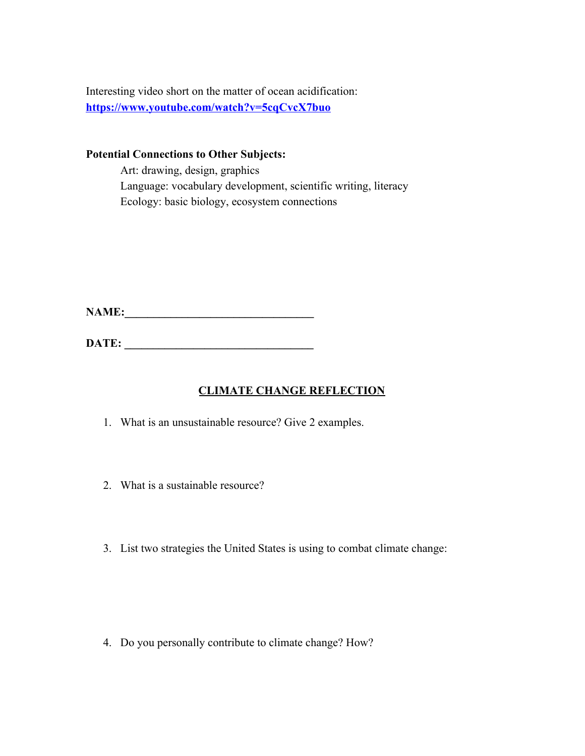Interesting video short on the matter of ocean acidification: **<https://www.youtube.com/watch?v=5cqCvcX7buo>**

**Potential Connections to Other Subjects:**

Art: drawing, design, graphics Language: vocabulary development, scientific writing, literacy Ecology: basic biology, ecosystem connections

**NAME:\_\_\_\_\_\_\_\_\_\_\_\_\_\_\_\_\_\_\_\_\_\_\_\_\_\_\_\_\_\_\_\_\_**

**DATE: \_\_\_\_\_\_\_\_\_\_\_\_\_\_\_\_\_\_\_\_\_\_\_\_\_\_\_\_\_\_\_\_\_**

# **CLIMATE CHANGE REFLECTION**

- 1. What is an unsustainable resource? Give 2 examples.
- 2. What is a sustainable resource?
- 3. List two strategies the United States is using to combat climate change:

4. Do you personally contribute to climate change? How?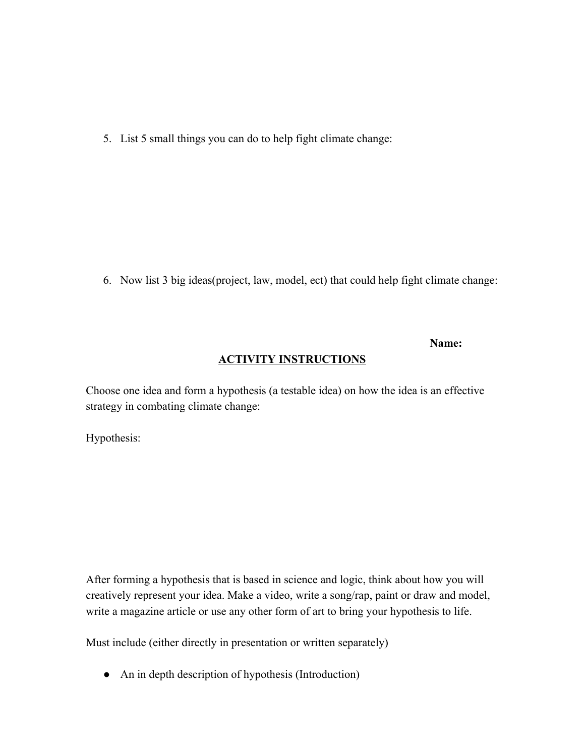5. List 5 small things you can do to help fight climate change:

6. Now list 3 big ideas(project, law, model, ect) that could help fight climate change:

#### **Name:**

#### **ACTIVITY INSTRUCTIONS**

Choose one idea and form a hypothesis (a testable idea) on how the idea is an effective strategy in combating climate change:

Hypothesis:

After forming a hypothesis that is based in science and logic, think about how you will creatively represent your idea. Make a video, write a song/rap, paint or draw and model, write a magazine article or use any other form of art to bring your hypothesis to life.

Must include (either directly in presentation or written separately)

• An in depth description of hypothesis (Introduction)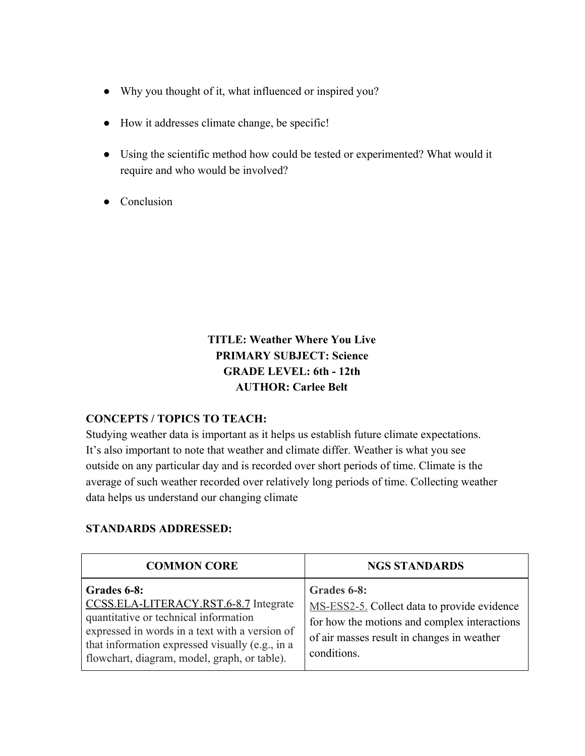- Why you thought of it, what influenced or inspired you?
- How it addresses climate change, be specific!
- Using the scientific method how could be tested or experimented? What would it require and who would be involved?
- Conclusion

**TITLE: Weather Where You Live PRIMARY SUBJECT: Science GRADE LEVEL: 6th - 12th AUTHOR: Carlee Belt**

#### **CONCEPTS / TOPICS TO TEACH:**

Studying weather data is important as it helps us establish future climate expectations. It's also important to note that weather and climate differ. Weather is what you see outside on any particular day and is recorded over short periods of time. Climate is the average of such weather recorded over relatively long periods of time. Collecting weather data helps us understand our changing climate

#### **STANDARDS ADDRESSED:**

| <b>COMMON CORE</b>                                                                                                                                                                                                                                 | <b>NGS STANDARDS</b>                                                                                                                                                    |
|----------------------------------------------------------------------------------------------------------------------------------------------------------------------------------------------------------------------------------------------------|-------------------------------------------------------------------------------------------------------------------------------------------------------------------------|
| Grades 6-8:<br>CCSS.ELA-LITERACY.RST.6-8.7 Integrate<br>quantitative or technical information<br>expressed in words in a text with a version of<br>that information expressed visually (e.g., in a<br>flowchart, diagram, model, graph, or table). | Grades 6-8:<br>MS-ESS2-5. Collect data to provide evidence<br>for how the motions and complex interactions<br>of air masses result in changes in weather<br>conditions. |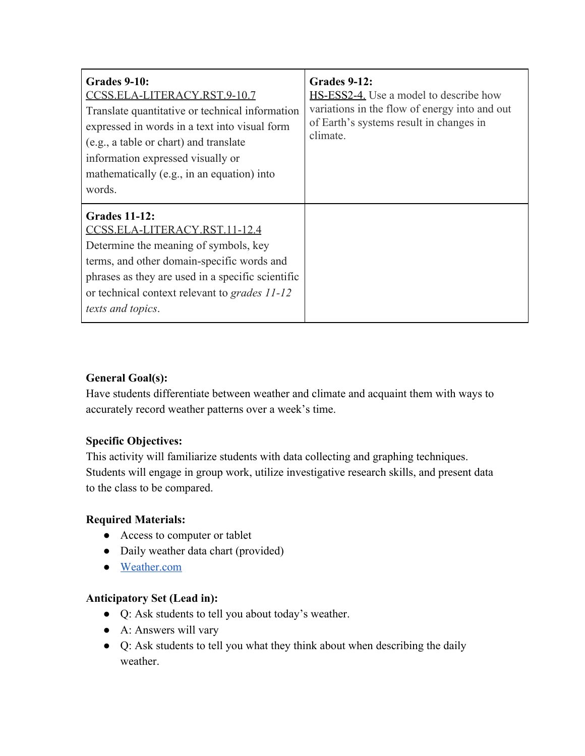| Grades 9-10:<br>CCSS.ELA-LITERACY.RST.9-10.7<br>Translate quantitative or technical information<br>expressed in words in a text into visual form<br>(e.g., a table or chart) and translate<br>information expressed visually or<br>mathematically (e.g., in an equation) into<br>words. | Grades 9-12:<br>HS-ESS2-4. Use a model to describe how<br>variations in the flow of energy into and out<br>of Earth's systems result in changes in<br>climate. |
|-----------------------------------------------------------------------------------------------------------------------------------------------------------------------------------------------------------------------------------------------------------------------------------------|----------------------------------------------------------------------------------------------------------------------------------------------------------------|
| <b>Grades 11-12:</b><br>CCSS.ELA-LITERACY.RST.11-12.4<br>Determine the meaning of symbols, key<br>terms, and other domain-specific words and<br>phrases as they are used in a specific scientific<br>or technical context relevant to grades 11-12<br>texts and topics.                 |                                                                                                                                                                |

## **General Goal(s):**

Have students differentiate between weather and climate and acquaint them with ways to accurately record weather patterns over a week's time.

#### **Specific Objectives:**

This activity will familiarize students with data collecting and graphing techniques. Students will engage in group work, utilize investigative research skills, and present data to the class to be compared.

#### **Required Materials:**

- Access to computer or tablet
- Daily weather data chart (provided)
- [Weather.com](https://weather.com/)

#### **Anticipatory Set (Lead in):**

- Q: Ask students to tell you about today's weather.
- A: Answers will vary
- Q: Ask students to tell you what they think about when describing the daily weather.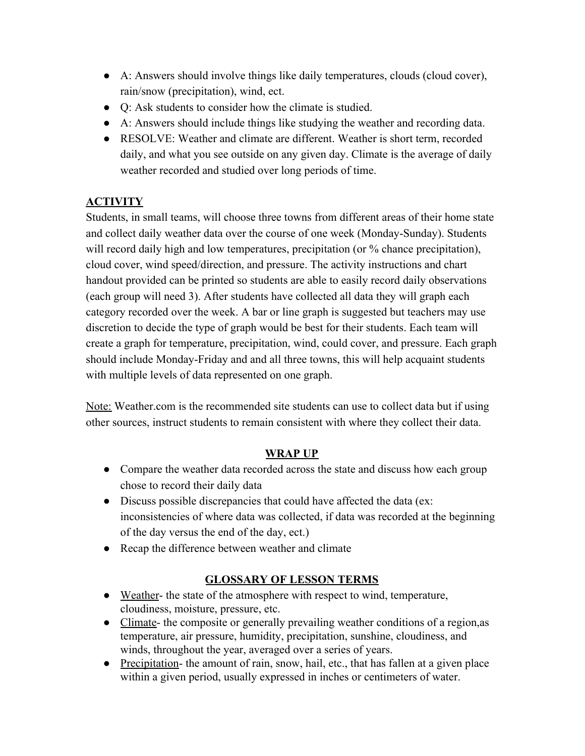- A: Answers should involve things like daily temperatures, clouds (cloud cover), rain/snow (precipitation), wind, ect.
- Q: Ask students to consider how the climate is studied.
- A: Answers should include things like studying the weather and recording data.
- RESOLVE: Weather and climate are different. Weather is short term, recorded daily, and what you see outside on any given day. Climate is the average of daily weather recorded and studied over long periods of time.

# **ACTIVITY**

Students, in small teams, will choose three towns from different areas of their home state and collect daily weather data over the course of one week (Monday-Sunday). Students will record daily high and low temperatures, precipitation (or % chance precipitation), cloud cover, wind speed/direction, and pressure. The activity instructions and chart handout provided can be printed so students are able to easily record daily observations (each group will need 3). After students have collected all data they will graph each category recorded over the week. A bar or line graph is suggested but teachers may use discretion to decide the type of graph would be best for their students. Each team will create a graph for temperature, precipitation, wind, could cover, and pressure. Each graph should include Monday-Friday and and all three towns, this will help acquaint students with multiple levels of data represented on one graph.

Note: Weather.com is the recommended site students can use to collect data but if using other sources, instruct students to remain consistent with where they collect their data.

# **WRAP UP**

- Compare the weather data recorded across the state and discuss how each group chose to record their daily data
- Discuss possible discrepancies that could have affected the data (ex: inconsistencies of where data was collected, if data was recorded at the beginning of the day versus the end of the day, ect.)
- Recap the difference between weather and climate

# **GLOSSARY OF LESSON TERMS**

- Weather- the state of the atmosphere with respect to wind, temperature, cloudiness, moisture, pressure, etc.
- Climate- the composite or generally prevailing weather conditions of a region, as temperature, air pressure, humidity, precipitation, sunshine, cloudiness, and winds, throughout the year, averaged over a series of years.
- Precipitation- the amount of rain, snow, hail, etc., that has fallen at a given place within a given period, usually expressed in inches or centimeters of water.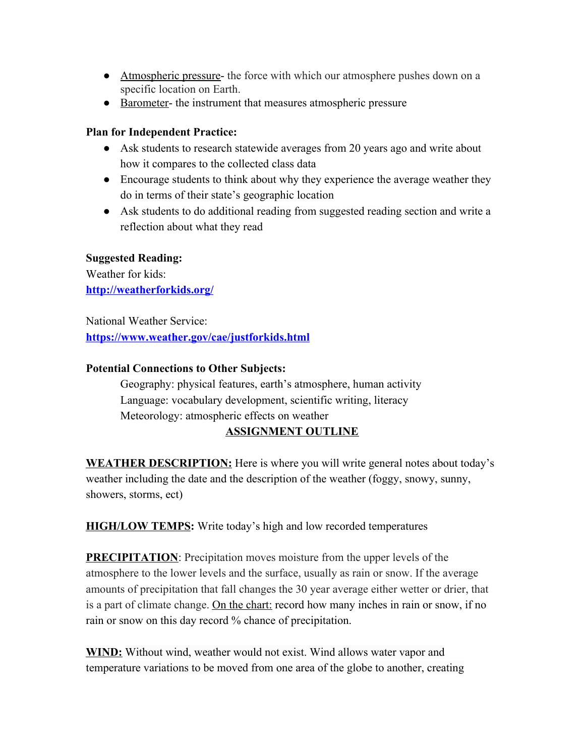- Atmospheric pressure- the force with which our atmosphere pushes down on a specific location on Earth.
- Barometer- the instrument that measures atmospheric pressure

#### **Plan for Independent Practice:**

- Ask students to research statewide averages from 20 years ago and write about how it compares to the collected class data
- Encourage students to think about why they experience the average weather they do in terms of their state's geographic location
- Ask students to do additional reading from suggested reading section and write a reflection about what they read

## **Suggested Reading:**

Weather for kids: **<http://weatherforkids.org/>**

National Weather Service: **<https://www.weather.gov/cae/justforkids.html>**

#### **Potential Connections to Other Subjects:**

Geography: physical features, earth's atmosphere, human activity Language: vocabulary development, scientific writing, literacy Meteorology: atmospheric effects on weather

## **ASSIGNMENT OUTLINE**

**WEATHER DESCRIPTION:** Here is where you will write general notes about today's weather including the date and the description of the weather (foggy, snowy, sunny, showers, storms, ect)

**HIGH/LOW TEMPS:** Write today's high and low recorded temperatures

**PRECIPITATION**: Precipitation moves moisture from the upper levels of the atmosphere to the lower levels and the surface, usually as rain or snow. If the average amounts of precipitation that fall changes the 30 year average either wetter or drier, that is a part of climate change. On the chart: record how many inches in rain or snow, if no rain or snow on this day record % chance of precipitation.

**WIND:** Without wind, weather would not exist. Wind allows water vapor and temperature variations to be moved from one area of the globe to another, creating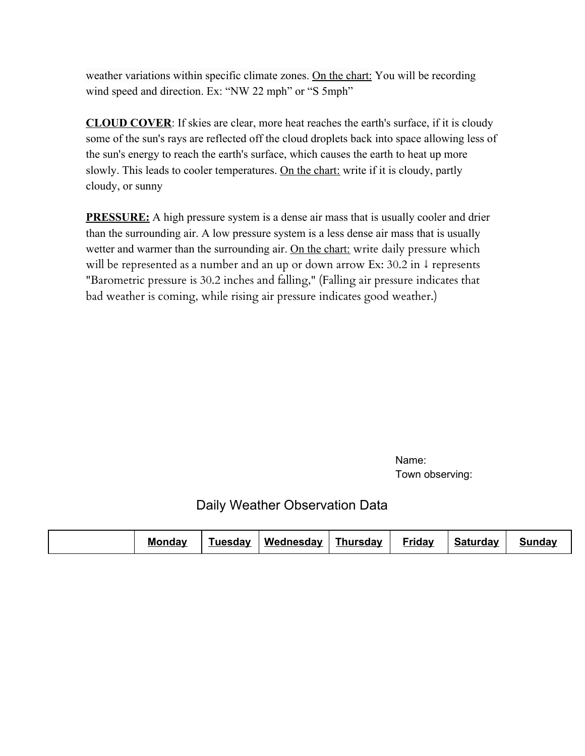weather variations within specific climate zones. On the chart: You will be recording wind speed and direction. Ex: "NW 22 mph" or "S 5mph"

**CLOUD COVER**: If skies are clear, more heat reaches the earth's surface, if it is cloudy some of the sun's rays are reflected off the cloud droplets back into space allowing less of the sun's energy to reach the earth's surface, which causes the earth to heat up more slowly. This leads to cooler temperatures. On the chart: write if it is cloudy, partly cloudy, or sunny

**PRESSURE:** A high pressure system is a dense air mass that is usually cooler and drier than the surrounding air. A low pressure system is a less dense air mass that is usually wetter and warmer than the surrounding air. On the chart: write daily pressure which will be represented as a number and an up or down arrow Ex: 30.2 in ↓ represents "Barometric pressure is 30.2 inches and falling," (Falling air pressure indicates that bad weather is coming, while rising air pressure indicates good weather.)

> Name: Town observing:

Daily Weather Observation Data

|  | <b>Monday</b><br><b>uesdav</b> | Wednesday | <b>Thursday</b> | Friday | Saturdav | <b>Sundav</b> |
|--|--------------------------------|-----------|-----------------|--------|----------|---------------|
|--|--------------------------------|-----------|-----------------|--------|----------|---------------|